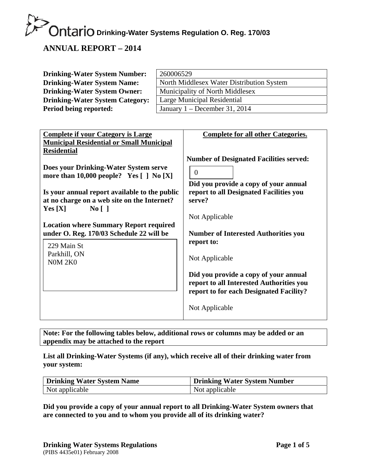#### **ANNUAL REPORT – 2014**

| <b>Drinking-Water System Number:</b>   | 260006529                                 |
|----------------------------------------|-------------------------------------------|
| <b>Drinking-Water System Name:</b>     | North Middlesex Water Distribution System |
| <b>Drinking-Water System Owner:</b>    | Municipality of North Middlesex           |
| <b>Drinking-Water System Category:</b> | Large Municipal Residential               |
| Period being reported:                 | January $1 -$ December 31, 2014           |

| <b>Complete if your Category is Large</b>                                                                                                  | <b>Complete for all other Categories.</b>                                                                                                      |
|--------------------------------------------------------------------------------------------------------------------------------------------|------------------------------------------------------------------------------------------------------------------------------------------------|
| <b>Municipal Residential or Small Municipal</b><br><b>Residential</b>                                                                      |                                                                                                                                                |
| Does your Drinking-Water System serve<br>more than $10,000$ people? Yes $[ ]$ No $[X]$                                                     | <b>Number of Designated Facilities served:</b><br>$\Omega$<br>Did you provide a copy of your annual                                            |
| Is your annual report available to the public<br>at no charge on a web site on the Internet?                                               | report to all Designated Facilities you<br>serve?                                                                                              |
| $\overline{N_0}$    <br>Yes[X]                                                                                                             |                                                                                                                                                |
|                                                                                                                                            | Not Applicable                                                                                                                                 |
| <b>Location where Summary Report required</b><br>under O. Reg. 170/03 Schedule 22 will be<br>229 Main St<br>Parkhill, ON<br><b>N0M 2K0</b> | <b>Number of Interested Authorities you</b><br>report to:<br>Not Applicable                                                                    |
|                                                                                                                                            | Did you provide a copy of your annual<br>report to all Interested Authorities you<br>report to for each Designated Facility?<br>Not Applicable |
|                                                                                                                                            |                                                                                                                                                |

**Note: For the following tables below, additional rows or columns may be added or an appendix may be attached to the report** 

**List all Drinking-Water Systems (if any), which receive all of their drinking water from your system:** 

| Drinking Water System Name | Drinking Water System Number |  |  |
|----------------------------|------------------------------|--|--|
| Not applicable             | Not applicable               |  |  |

**Did you provide a copy of your annual report to all Drinking-Water System owners that are connected to you and to whom you provide all of its drinking water?**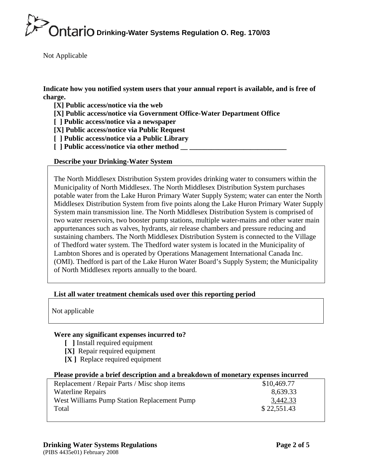Not Applicable

**Indicate how you notified system users that your annual report is available, and is free of charge.** 

**[X] Public access/notice via the web** 

**[X] Public access/notice via Government Office-Water Department Office** 

**[ ] Public access/notice via a newspaper** 

**[X] Public access/notice via Public Request** 

- **[ ] Public access/notice via a Public Library**
- **[ ] Public access/notice via other method \_\_ \_\_\_\_\_\_\_\_\_\_\_\_\_\_\_\_\_\_\_\_\_\_\_\_\_\_\_**

#### **Describe your Drinking-Water System**

The North Middlesex Distribution System provides drinking water to consumers within the Municipality of North Middlesex. The North Middlesex Distribution System purchases potable water from the Lake Huron Primary Water Supply System; water can enter the North Middlesex Distribution System from five points along the Lake Huron Primary Water Supply System main transmission line. The North Middlesex Distribution System is comprised of two water reservoirs, two booster pump stations, multiple water-mains and other water main appurtenances such as valves, hydrants, air release chambers and pressure reducing and sustaining chambers. The North Middlesex Distribution System is connected to the Village of Thedford water system. The Thedford water system is located in the Municipality of Lambton Shores and is operated by Operations Management International Canada Inc. (OMI). Thedford is part of the Lake Huron Water Board's Supply System; the Municipality of North Middlesex reports annually to the board.

#### **List all water treatment chemicals used over this reporting period**

Not applicable

#### **Were any significant expenses incurred to?**

- **[ ]** Install required equipment
- **[X]** Repair required equipment
- **[X ]** Replace required equipment

#### **Please provide a brief description and a breakdown of monetary expenses incurred**

| Replacement / Repair Parts / Misc shop items | \$10,469.77 |
|----------------------------------------------|-------------|
| <b>Waterline Repairs</b>                     | 8,639.33    |
| West Williams Pump Station Replacement Pump  | 3,442.33    |
| Total                                        | \$22,551.43 |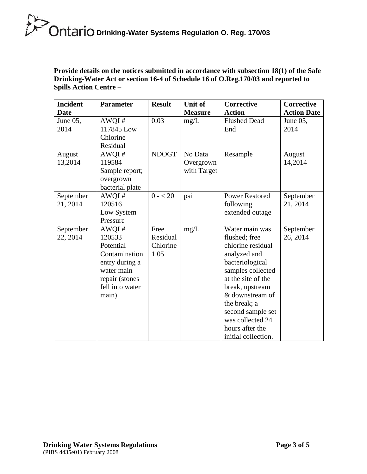**Provide details on the notices submitted in accordance with subsection 18(1) of the Safe Drinking-Water Act or section 16-4 of Schedule 16 of O.Reg.170/03 and reported to Spills Action Centre –** 

| <b>Incident</b><br><b>Date</b> | <b>Parameter</b>                                                                                                            | <b>Result</b>                        | <b>Unit of</b><br><b>Measure</b>    | Corrective<br><b>Action</b>                                                                                                                                                                                                                                                 | <b>Corrective</b><br><b>Action Date</b> |
|--------------------------------|-----------------------------------------------------------------------------------------------------------------------------|--------------------------------------|-------------------------------------|-----------------------------------------------------------------------------------------------------------------------------------------------------------------------------------------------------------------------------------------------------------------------------|-----------------------------------------|
| June 05,<br>2014               | AWQI#<br>117845 Low<br>Chlorine<br>Residual                                                                                 | 0.03                                 | mg/L                                | <b>Flushed Dead</b><br>End                                                                                                                                                                                                                                                  | June 05,<br>2014                        |
| August<br>13,2014              | AWQI#<br>119584<br>Sample report;<br>overgrown<br>bacterial plate                                                           | <b>NDOGT</b>                         | No Data<br>Overgrown<br>with Target | Resample                                                                                                                                                                                                                                                                    | August<br>14,2014                       |
| September<br>21, 2014          | AWQI#<br>120516<br>Low System<br>Pressure                                                                                   | $0 - 20$                             | psi                                 | <b>Power Restored</b><br>following<br>extended outage                                                                                                                                                                                                                       | September<br>21, 2014                   |
| September<br>22, 2014          | AWQI#<br>120533<br>Potential<br>Contamination<br>entry during a<br>water main<br>repair (stones<br>fell into water<br>main) | Free<br>Residual<br>Chlorine<br>1.05 | mg/L                                | Water main was<br>flushed; free<br>chlorine residual<br>analyzed and<br>bacteriological<br>samples collected<br>at the site of the<br>break, upstream<br>& downstream of<br>the break; a<br>second sample set<br>was collected 24<br>hours after the<br>initial collection. | September<br>26, 2014                   |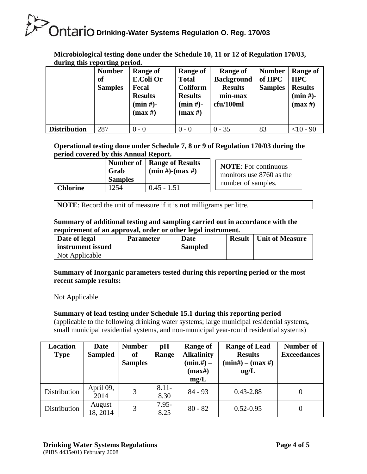| during this reporting period. |                |                  |                 |                   |                |                |  |  |
|-------------------------------|----------------|------------------|-----------------|-------------------|----------------|----------------|--|--|
|                               | <b>Number</b>  | Range of         | <b>Range of</b> | Range of          | <b>Number</b>  | Range of       |  |  |
|                               | of             | <b>E.Coli Or</b> | <b>Total</b>    | <b>Background</b> | of HPC         | <b>HPC</b>     |  |  |
|                               | <b>Samples</b> | Fecal            | <b>Coliform</b> | <b>Results</b>    | <b>Samples</b> | <b>Results</b> |  |  |
|                               |                | <b>Results</b>   | <b>Results</b>  | min-max           |                | $(min#)-$      |  |  |
|                               |                | $(min#)-$        | $(min#)-$       | cfu/100ml         |                | (max H)        |  |  |
|                               |                | (max H)          | (max H)         |                   |                |                |  |  |
|                               |                |                  |                 |                   |                |                |  |  |
| <b>Distribution</b>           | 287            | $0 - 0$          | $0 - 0$         | $0 - 35$          | 83             | $<$ 10 - 90    |  |  |

**Microbiological testing done under the Schedule 10, 11 or 12 of Regulation 170/03, during this reporting period.** 

#### **Operational testing done under Schedule 7, 8 or 9 of Regulation 170/03 during the period covered by this Annual Report.**

|          | Grab<br><b>Samples</b> | Number of   Range of Results<br>$(min #)$ - $(max #)$ | <b>NOTE:</b> For continuous<br>monitors use 8760 as the<br>number of samples. |
|----------|------------------------|-------------------------------------------------------|-------------------------------------------------------------------------------|
| Chlorine | 254                    | $0.45 - 1.51$                                         |                                                                               |

**NOTE**: Record the unit of measure if it is **not** milligrams per litre.

#### **Summary of additional testing and sampling carried out in accordance with the requirement of an approval, order or other legal instrument.**

| Date of legal     | <b>Parameter</b> | Date           | <b>Result</b> | Unit of Measure |
|-------------------|------------------|----------------|---------------|-----------------|
| instrument issued |                  | <b>Sampled</b> |               |                 |
| Not Applicable    |                  |                |               |                 |

#### **Summary of Inorganic parameters tested during this reporting period or the most recent sample results:**

Not Applicable

#### **Summary of lead testing under Schedule 15.1 during this reporting period**

(applicable to the following drinking water systems; large municipal residential systems**,**  small municipal residential systems, and non-municipal year-round residential systems)

| <b>Location</b> | <b>Date</b>    | <b>Number</b>  | pH       | <b>Range of</b>   | <b>Range of Lead</b> | Number of          |
|-----------------|----------------|----------------|----------|-------------------|----------------------|--------------------|
| <b>Type</b>     | <b>Sampled</b> | <b>of</b>      | Range    | <b>Alkalinity</b> | <b>Results</b>       | <b>Exceedances</b> |
|                 |                | <b>Samples</b> |          | $(min{,}\#)$ –    | $(min#) - (max#)$    |                    |
|                 |                |                |          | $(max\#)$         | ug/L                 |                    |
|                 |                |                |          | mg/L              |                      |                    |
| Distribution    | April 09,      | 3              | $8.11 -$ | $84 - 93$         | $0.43 - 2.88$        | 0                  |
|                 | 2014           |                | 8.30     |                   |                      |                    |
| Distribution    | August         | 3              | $7.95 -$ | $80 - 82$         | $0.52 - 0.95$        | 0                  |
|                 | 18, 2014       |                | 8.25     |                   |                      |                    |